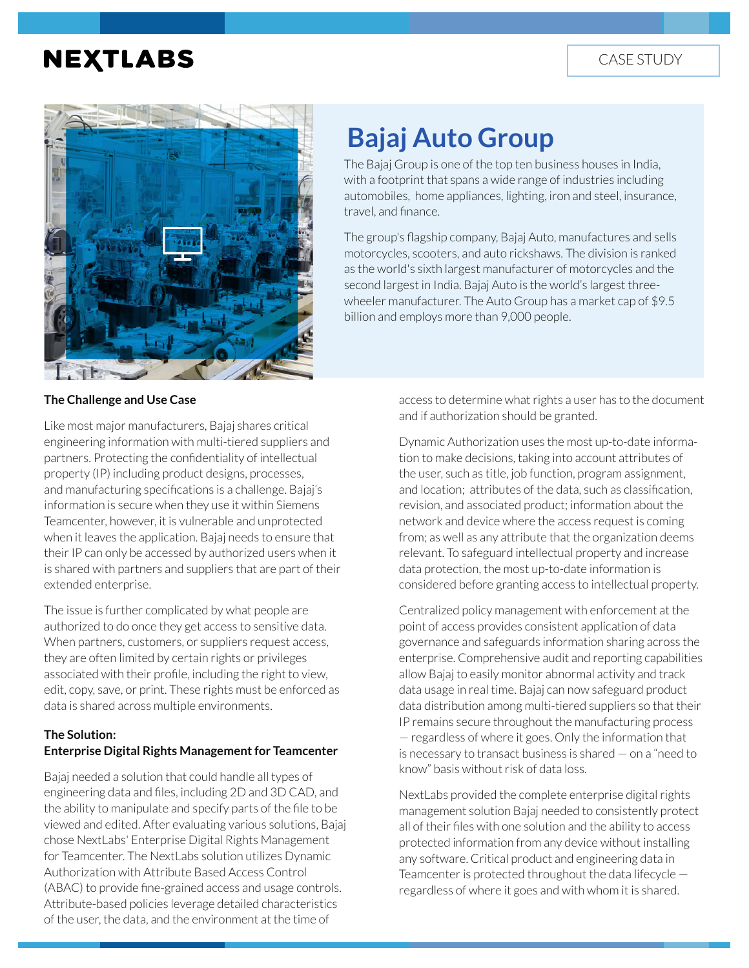## **NEXTLABS**



# **Bajaj Auto Group**

The Bajaj Group is one of the top ten business houses in India, with a footprint that spans a wide range of industries including automobiles, home appliances, lighting, iron and steel, insurance, travel, and finance.

The group's flagship company, Bajaj Auto, manufactures and sells motorcycles, scooters, and auto rickshaws. The division is ranked as the world's sixth largest manufacturer of motorcycles and the second largest in India. Bajaj Auto is the world's largest threewheeler manufacturer. The Auto Group has a market cap of \$9.5 billion and employs more than 9,000 people.

#### **The Challenge and Use Case**

Like most major manufacturers, Bajaj shares critical engineering information with multi-tiered suppliers and partners. Protecting the confidentiality of intellectual property (IP) including product designs, processes, and manufacturing specifications is a challenge. Bajaj's information is secure when they use it within Siemens Teamcenter, however, it is vulnerable and unprotected when it leaves the application. Bajaj needs to ensure that their IP can only be accessed by authorized users when it is shared with partners and suppliers that are part of their extended enterprise.

The issue is further complicated by what people are authorized to do once they get access to sensitive data. When partners, customers, or suppliers request access, they are often limited by certain rights or privileges associated with their profile, including the right to view, edit, copy, save, or print. These rights must be enforced as data is shared across multiple environments.

#### **The Solution: Enterprise Digital Rights Management for Teamcenter**

Bajaj needed a solution that could handle all types of engineering data and files, including 2D and 3D CAD, and the ability to manipulate and specify parts of the file to be viewed and edited. After evaluating various solutions, Bajaj chose NextLabs' Enterprise Digital Rights Management for Teamcenter. The NextLabs solution utilizes Dynamic Authorization with Attribute Based Access Control (ABAC) to provide fine-grained access and usage controls. Attribute-based policies leverage detailed characteristics of the user, the data, and the environment at the time of

access to determine what rights a user has to the document and if authorization should be granted.

Dynamic Authorization uses the most up-to-date information to make decisions, taking into account attributes of the user, such as title, job function, program assignment, and location; attributes of the data, such as classification, revision, and associated product; information about the network and device where the access request is coming from; as well as any attribute that the organization deems relevant. To safeguard intellectual property and increase data protection, the most up-to-date information is considered before granting access to intellectual property.

Centralized policy management with enforcement at the point of access provides consistent application of data governance and safeguards information sharing across the enterprise. Comprehensive audit and reporting capabilities allow Bajaj to easily monitor abnormal activity and track data usage in real time. Bajaj can now safeguard product data distribution among multi-tiered suppliers so that their IP remains secure throughout the manufacturing process — regardless of where it goes. Only the information that is necessary to transact business is shared — on a "need to know" basis without risk of data loss.

NextLabs provided the complete enterprise digital rights management solution Bajaj needed to consistently protect all of their files with one solution and the ability to access protected information from any device without installing any software. Critical product and engineering data in Teamcenter is protected throughout the data lifecycle regardless of where it goes and with whom it is shared.